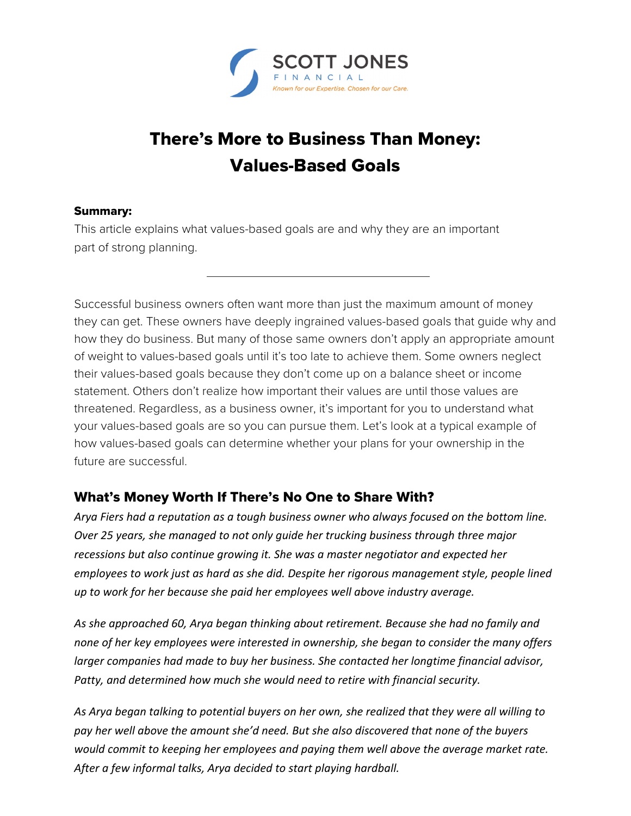

## There's More to Business Than Money: Values-Based Goals

## Summary:

This article explains what values-based goals are and why they are an important part of strong planning.

Successful business owners often want more than just the maximum amount of money they can get. These owners have deeply ingrained values-based goals that guide why and how they do business. But many of those same owners don't apply an appropriate amount of weight to values-based goals until it's too late to achieve them. Some owners neglect their values-based goals because they don't come up on a balance sheet or income statement. Others don't realize how important their values are until those values are threatened. Regardless, as a business owner, it's important for you to understand what your values-based goals are so you can pursue them. Let's look at a typical example of how values-based goals can determine whether your plans for your ownership in the future are successful.

## What's Money Worth If There's No One to Share With?

*Arya Fiers had a reputation as a tough business owner who always focused on the bottom line. Over 25 years, she managed to not only guide her trucking business through three major recessions but also continue growing it. She was a master negotiator and expected her employees to work just as hard as she did. Despite her rigorous management style, people lined up to work for her because she paid her employees well above industry average.* 

*As she approached 60, Arya began thinking about retirement. Because she had no family and none of her key employees were interested in ownership, she began to consider the many offers larger companies had made to buy her business. She contacted her longtime financial advisor, Patty, and determined how much she would need to retire with financial security.* 

*As Arya began talking to potential buyers on her own, she realized that they were all willing to pay her well above the amount she'd need. But she also discovered that none of the buyers would commit to keeping her employees and paying them well above the average market rate. After a few informal talks, Arya decided to start playing hardball.*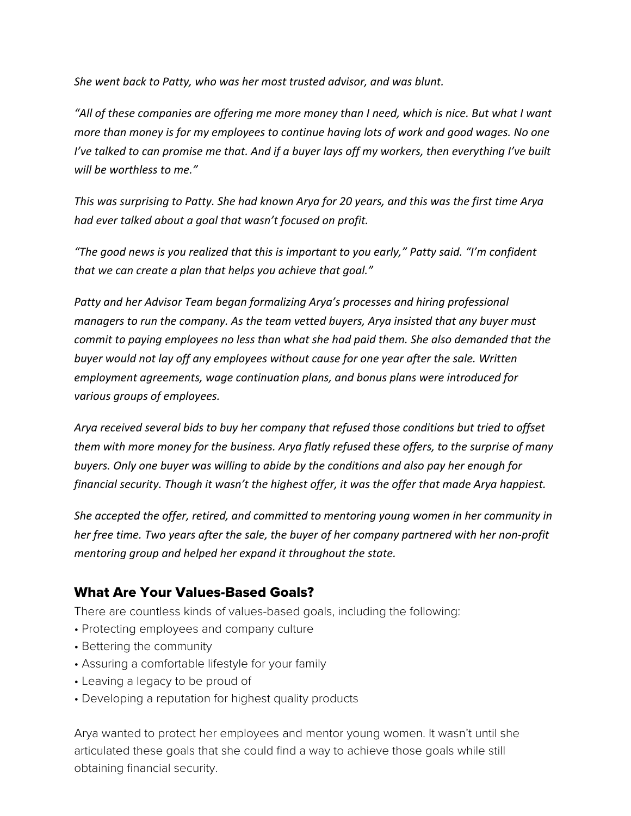*She went back to Patty, who was her most trusted advisor, and was blunt.* 

*"All of these companies are offering me more money than I need, which is nice. But what I want more than money is for my employees to continue having lots of work and good wages. No one I've talked to can promise me that. And if a buyer lays off my workers, then everything I've built will be worthless to me."* 

*This was surprising to Patty. She had known Arya for 20 years, and this was the first time Arya had ever talked about a goal that wasn't focused on profit.* 

*"The good news is you realized that this is important to you early," Patty said. "I'm confident that we can create a plan that helps you achieve that goal."* 

*Patty and her Advisor Team began formalizing Arya's processes and hiring professional managers to run the company. As the team vetted buyers, Arya insisted that any buyer must commit to paying employees no less than what she had paid them. She also demanded that the buyer would not lay off any employees without cause for one year after the sale. Written employment agreements, wage continuation plans, and bonus plans were introduced for various groups of employees.* 

*Arya received several bids to buy her company that refused those conditions but tried to offset them with more money for the business. Arya flatly refused these offers, to the surprise of many buyers. Only one buyer was willing to abide by the conditions and also pay her enough for financial security. Though it wasn't the highest offer, it was the offer that made Arya happiest.* 

*She accepted the offer, retired, and committed to mentoring young women in her community in her free time. Two years after the sale, the buyer of her company partnered with her non‐profit mentoring group and helped her expand it throughout the state.* 

## What Are Your Values-Based Goals?

There are countless kinds of values-based goals, including the following:

- Protecting employees and company culture
- Bettering the community
- Assuring a comfortable lifestyle for your family
- Leaving a legacy to be proud of
- Developing a reputation for highest quality products

Arya wanted to protect her employees and mentor young women. It wasn't until she articulated these goals that she could find a way to achieve those goals while still obtaining financial security.